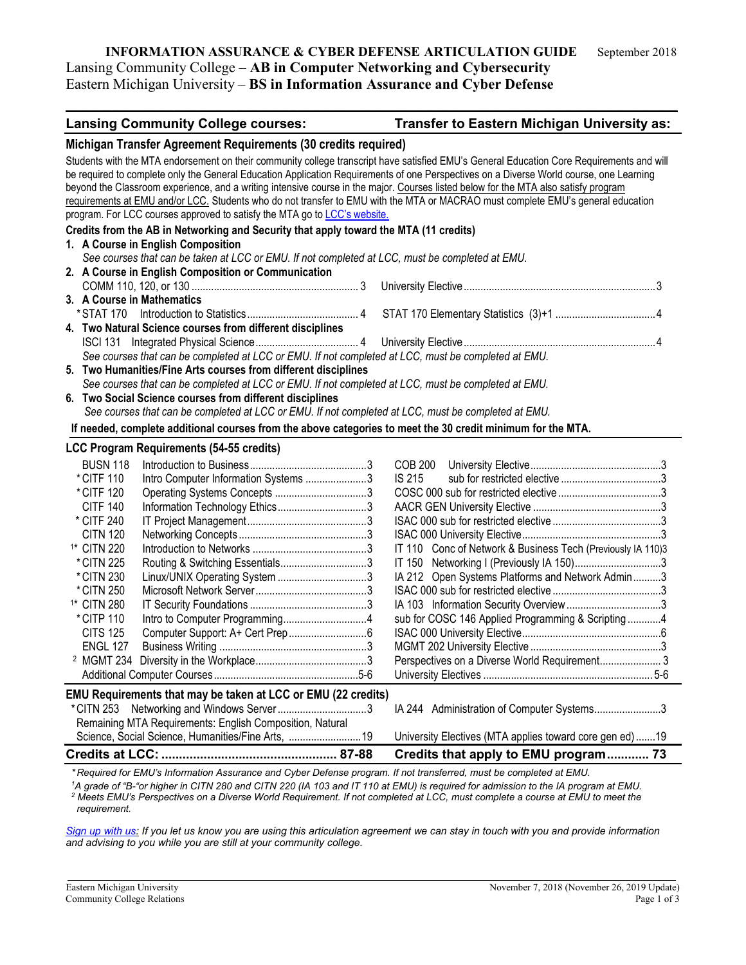## **INFORMATION ASSURANCE & CYBER DEFENSE ARTICULATION GUIDE** September 2018 Lansing Community College – **AB in Computer Networking and Cybersecurity** Eastern Michigan University – **BS in Information Assurance and Cyber Defense**

| Michigan Transfer Agreement Requirements (30 credits required)<br>Students with the MTA endorsement on their community college transcript have satisfied EMU's General Education Core Requirements and will<br>be required to complete only the General Education Application Requirements of one Perspectives on a Diverse World course, one Learning<br>beyond the Classroom experience, and a writing intensive course in the major. Courses listed below for the MTA also satisfy program<br>requirements at EMU and/or LCC. Students who do not transfer to EMU with the MTA or MACRAO must complete EMU's general education<br>program. For LCC courses approved to satisfy the MTA go to LCC's website.<br>Credits from the AB in Networking and Security that apply toward the MTA (11 credits)<br>1. A Course in English Composition<br>See courses that can be taken at LCC or EMU. If not completed at LCC, must be completed at EMU.<br>2. A Course in English Composition or Communication<br>3. A Course in Mathematics<br>4. Two Natural Science courses from different disciplines<br>See courses that can be completed at LCC or EMU. If not completed at LCC, must be completed at EMU.<br>5. Two Humanities/Fine Arts courses from different disciplines<br>See courses that can be completed at LCC or EMU. If not completed at LCC, must be completed at EMU.<br>6. Two Social Science courses from different disciplines<br>See courses that can be completed at LCC or EMU. If not completed at LCC, must be completed at EMU.<br>If needed, complete additional courses from the above categories to meet the 30 credit minimum for the MTA.<br><b>LCC Program Requirements (54-55 credits)</b><br><b>BUSN 118</b><br>COB 200<br>* CITF 110<br>Intro Computer Information Systems 3<br>IS 215<br>* CITF 120<br><b>CITF 140</b><br>* CITF 240<br><b>CITN 120</b><br><sup>1*</sup> CITN 220<br>IT 110 Conc of Network & Business Tech (Previously IA 110)3<br>IT 150 Networking I (Previously IA 150)3<br>Routing & Switching Essentials3<br>* CITN 225<br>Linux/UNIX Operating System 3<br>IA 212 Open Systems Platforms and Network Admin3<br>* CITN 230<br>* CITN 250<br><sup>1*</sup> CITN 280<br>* CITP 110<br>sub for COSC 146 Applied Programming & Scripting4<br><b>CITS 125</b><br><b>ENGL 127</b><br>EMU Requirements that may be taken at LCC or EMU (22 credits)<br>IA 244 Administration of Computer Systems3<br>Remaining MTA Requirements: English Composition, Natural<br>Science, Social Science, Humanities/Fine Arts,  19<br>University Electives (MTA applies toward core gen ed)19<br>Credits that apply to EMU program 73<br>* Required for EMI I's Information Assumence and Cuber Defense program If not transferred, must be completed at EMI I | <b>Lansing Community College courses:</b> | Transfer to Eastern Michigan University as: |
|------------------------------------------------------------------------------------------------------------------------------------------------------------------------------------------------------------------------------------------------------------------------------------------------------------------------------------------------------------------------------------------------------------------------------------------------------------------------------------------------------------------------------------------------------------------------------------------------------------------------------------------------------------------------------------------------------------------------------------------------------------------------------------------------------------------------------------------------------------------------------------------------------------------------------------------------------------------------------------------------------------------------------------------------------------------------------------------------------------------------------------------------------------------------------------------------------------------------------------------------------------------------------------------------------------------------------------------------------------------------------------------------------------------------------------------------------------------------------------------------------------------------------------------------------------------------------------------------------------------------------------------------------------------------------------------------------------------------------------------------------------------------------------------------------------------------------------------------------------------------------------------------------------------------------------------------------------------------------------------------------------------------------------------------------------------------------------------------------------------------------------------------------------------------------------------------------------------------------------------------------------------------------------------------------------------------------------------------------------------------------------------------------------------------------------------------------------------------------------------------------------------------------------------------------------------------------------------------------------------------------------------------------------------------------------------------------------------------------------------------------------------------------------------------|-------------------------------------------|---------------------------------------------|
|                                                                                                                                                                                                                                                                                                                                                                                                                                                                                                                                                                                                                                                                                                                                                                                                                                                                                                                                                                                                                                                                                                                                                                                                                                                                                                                                                                                                                                                                                                                                                                                                                                                                                                                                                                                                                                                                                                                                                                                                                                                                                                                                                                                                                                                                                                                                                                                                                                                                                                                                                                                                                                                                                                                                                                                                |                                           |                                             |
|                                                                                                                                                                                                                                                                                                                                                                                                                                                                                                                                                                                                                                                                                                                                                                                                                                                                                                                                                                                                                                                                                                                                                                                                                                                                                                                                                                                                                                                                                                                                                                                                                                                                                                                                                                                                                                                                                                                                                                                                                                                                                                                                                                                                                                                                                                                                                                                                                                                                                                                                                                                                                                                                                                                                                                                                |                                           |                                             |
|                                                                                                                                                                                                                                                                                                                                                                                                                                                                                                                                                                                                                                                                                                                                                                                                                                                                                                                                                                                                                                                                                                                                                                                                                                                                                                                                                                                                                                                                                                                                                                                                                                                                                                                                                                                                                                                                                                                                                                                                                                                                                                                                                                                                                                                                                                                                                                                                                                                                                                                                                                                                                                                                                                                                                                                                |                                           |                                             |
|                                                                                                                                                                                                                                                                                                                                                                                                                                                                                                                                                                                                                                                                                                                                                                                                                                                                                                                                                                                                                                                                                                                                                                                                                                                                                                                                                                                                                                                                                                                                                                                                                                                                                                                                                                                                                                                                                                                                                                                                                                                                                                                                                                                                                                                                                                                                                                                                                                                                                                                                                                                                                                                                                                                                                                                                |                                           |                                             |
|                                                                                                                                                                                                                                                                                                                                                                                                                                                                                                                                                                                                                                                                                                                                                                                                                                                                                                                                                                                                                                                                                                                                                                                                                                                                                                                                                                                                                                                                                                                                                                                                                                                                                                                                                                                                                                                                                                                                                                                                                                                                                                                                                                                                                                                                                                                                                                                                                                                                                                                                                                                                                                                                                                                                                                                                |                                           |                                             |
|                                                                                                                                                                                                                                                                                                                                                                                                                                                                                                                                                                                                                                                                                                                                                                                                                                                                                                                                                                                                                                                                                                                                                                                                                                                                                                                                                                                                                                                                                                                                                                                                                                                                                                                                                                                                                                                                                                                                                                                                                                                                                                                                                                                                                                                                                                                                                                                                                                                                                                                                                                                                                                                                                                                                                                                                |                                           |                                             |
|                                                                                                                                                                                                                                                                                                                                                                                                                                                                                                                                                                                                                                                                                                                                                                                                                                                                                                                                                                                                                                                                                                                                                                                                                                                                                                                                                                                                                                                                                                                                                                                                                                                                                                                                                                                                                                                                                                                                                                                                                                                                                                                                                                                                                                                                                                                                                                                                                                                                                                                                                                                                                                                                                                                                                                                                |                                           |                                             |
|                                                                                                                                                                                                                                                                                                                                                                                                                                                                                                                                                                                                                                                                                                                                                                                                                                                                                                                                                                                                                                                                                                                                                                                                                                                                                                                                                                                                                                                                                                                                                                                                                                                                                                                                                                                                                                                                                                                                                                                                                                                                                                                                                                                                                                                                                                                                                                                                                                                                                                                                                                                                                                                                                                                                                                                                |                                           |                                             |
|                                                                                                                                                                                                                                                                                                                                                                                                                                                                                                                                                                                                                                                                                                                                                                                                                                                                                                                                                                                                                                                                                                                                                                                                                                                                                                                                                                                                                                                                                                                                                                                                                                                                                                                                                                                                                                                                                                                                                                                                                                                                                                                                                                                                                                                                                                                                                                                                                                                                                                                                                                                                                                                                                                                                                                                                |                                           |                                             |
|                                                                                                                                                                                                                                                                                                                                                                                                                                                                                                                                                                                                                                                                                                                                                                                                                                                                                                                                                                                                                                                                                                                                                                                                                                                                                                                                                                                                                                                                                                                                                                                                                                                                                                                                                                                                                                                                                                                                                                                                                                                                                                                                                                                                                                                                                                                                                                                                                                                                                                                                                                                                                                                                                                                                                                                                |                                           |                                             |
|                                                                                                                                                                                                                                                                                                                                                                                                                                                                                                                                                                                                                                                                                                                                                                                                                                                                                                                                                                                                                                                                                                                                                                                                                                                                                                                                                                                                                                                                                                                                                                                                                                                                                                                                                                                                                                                                                                                                                                                                                                                                                                                                                                                                                                                                                                                                                                                                                                                                                                                                                                                                                                                                                                                                                                                                |                                           |                                             |
|                                                                                                                                                                                                                                                                                                                                                                                                                                                                                                                                                                                                                                                                                                                                                                                                                                                                                                                                                                                                                                                                                                                                                                                                                                                                                                                                                                                                                                                                                                                                                                                                                                                                                                                                                                                                                                                                                                                                                                                                                                                                                                                                                                                                                                                                                                                                                                                                                                                                                                                                                                                                                                                                                                                                                                                                |                                           |                                             |
|                                                                                                                                                                                                                                                                                                                                                                                                                                                                                                                                                                                                                                                                                                                                                                                                                                                                                                                                                                                                                                                                                                                                                                                                                                                                                                                                                                                                                                                                                                                                                                                                                                                                                                                                                                                                                                                                                                                                                                                                                                                                                                                                                                                                                                                                                                                                                                                                                                                                                                                                                                                                                                                                                                                                                                                                |                                           |                                             |
|                                                                                                                                                                                                                                                                                                                                                                                                                                                                                                                                                                                                                                                                                                                                                                                                                                                                                                                                                                                                                                                                                                                                                                                                                                                                                                                                                                                                                                                                                                                                                                                                                                                                                                                                                                                                                                                                                                                                                                                                                                                                                                                                                                                                                                                                                                                                                                                                                                                                                                                                                                                                                                                                                                                                                                                                |                                           |                                             |
|                                                                                                                                                                                                                                                                                                                                                                                                                                                                                                                                                                                                                                                                                                                                                                                                                                                                                                                                                                                                                                                                                                                                                                                                                                                                                                                                                                                                                                                                                                                                                                                                                                                                                                                                                                                                                                                                                                                                                                                                                                                                                                                                                                                                                                                                                                                                                                                                                                                                                                                                                                                                                                                                                                                                                                                                |                                           |                                             |
|                                                                                                                                                                                                                                                                                                                                                                                                                                                                                                                                                                                                                                                                                                                                                                                                                                                                                                                                                                                                                                                                                                                                                                                                                                                                                                                                                                                                                                                                                                                                                                                                                                                                                                                                                                                                                                                                                                                                                                                                                                                                                                                                                                                                                                                                                                                                                                                                                                                                                                                                                                                                                                                                                                                                                                                                |                                           |                                             |
|                                                                                                                                                                                                                                                                                                                                                                                                                                                                                                                                                                                                                                                                                                                                                                                                                                                                                                                                                                                                                                                                                                                                                                                                                                                                                                                                                                                                                                                                                                                                                                                                                                                                                                                                                                                                                                                                                                                                                                                                                                                                                                                                                                                                                                                                                                                                                                                                                                                                                                                                                                                                                                                                                                                                                                                                |                                           |                                             |
|                                                                                                                                                                                                                                                                                                                                                                                                                                                                                                                                                                                                                                                                                                                                                                                                                                                                                                                                                                                                                                                                                                                                                                                                                                                                                                                                                                                                                                                                                                                                                                                                                                                                                                                                                                                                                                                                                                                                                                                                                                                                                                                                                                                                                                                                                                                                                                                                                                                                                                                                                                                                                                                                                                                                                                                                |                                           |                                             |
|                                                                                                                                                                                                                                                                                                                                                                                                                                                                                                                                                                                                                                                                                                                                                                                                                                                                                                                                                                                                                                                                                                                                                                                                                                                                                                                                                                                                                                                                                                                                                                                                                                                                                                                                                                                                                                                                                                                                                                                                                                                                                                                                                                                                                                                                                                                                                                                                                                                                                                                                                                                                                                                                                                                                                                                                |                                           |                                             |
|                                                                                                                                                                                                                                                                                                                                                                                                                                                                                                                                                                                                                                                                                                                                                                                                                                                                                                                                                                                                                                                                                                                                                                                                                                                                                                                                                                                                                                                                                                                                                                                                                                                                                                                                                                                                                                                                                                                                                                                                                                                                                                                                                                                                                                                                                                                                                                                                                                                                                                                                                                                                                                                                                                                                                                                                |                                           |                                             |
|                                                                                                                                                                                                                                                                                                                                                                                                                                                                                                                                                                                                                                                                                                                                                                                                                                                                                                                                                                                                                                                                                                                                                                                                                                                                                                                                                                                                                                                                                                                                                                                                                                                                                                                                                                                                                                                                                                                                                                                                                                                                                                                                                                                                                                                                                                                                                                                                                                                                                                                                                                                                                                                                                                                                                                                                |                                           |                                             |
|                                                                                                                                                                                                                                                                                                                                                                                                                                                                                                                                                                                                                                                                                                                                                                                                                                                                                                                                                                                                                                                                                                                                                                                                                                                                                                                                                                                                                                                                                                                                                                                                                                                                                                                                                                                                                                                                                                                                                                                                                                                                                                                                                                                                                                                                                                                                                                                                                                                                                                                                                                                                                                                                                                                                                                                                |                                           |                                             |
|                                                                                                                                                                                                                                                                                                                                                                                                                                                                                                                                                                                                                                                                                                                                                                                                                                                                                                                                                                                                                                                                                                                                                                                                                                                                                                                                                                                                                                                                                                                                                                                                                                                                                                                                                                                                                                                                                                                                                                                                                                                                                                                                                                                                                                                                                                                                                                                                                                                                                                                                                                                                                                                                                                                                                                                                |                                           |                                             |
|                                                                                                                                                                                                                                                                                                                                                                                                                                                                                                                                                                                                                                                                                                                                                                                                                                                                                                                                                                                                                                                                                                                                                                                                                                                                                                                                                                                                                                                                                                                                                                                                                                                                                                                                                                                                                                                                                                                                                                                                                                                                                                                                                                                                                                                                                                                                                                                                                                                                                                                                                                                                                                                                                                                                                                                                |                                           |                                             |
|                                                                                                                                                                                                                                                                                                                                                                                                                                                                                                                                                                                                                                                                                                                                                                                                                                                                                                                                                                                                                                                                                                                                                                                                                                                                                                                                                                                                                                                                                                                                                                                                                                                                                                                                                                                                                                                                                                                                                                                                                                                                                                                                                                                                                                                                                                                                                                                                                                                                                                                                                                                                                                                                                                                                                                                                |                                           |                                             |
|                                                                                                                                                                                                                                                                                                                                                                                                                                                                                                                                                                                                                                                                                                                                                                                                                                                                                                                                                                                                                                                                                                                                                                                                                                                                                                                                                                                                                                                                                                                                                                                                                                                                                                                                                                                                                                                                                                                                                                                                                                                                                                                                                                                                                                                                                                                                                                                                                                                                                                                                                                                                                                                                                                                                                                                                |                                           |                                             |
|                                                                                                                                                                                                                                                                                                                                                                                                                                                                                                                                                                                                                                                                                                                                                                                                                                                                                                                                                                                                                                                                                                                                                                                                                                                                                                                                                                                                                                                                                                                                                                                                                                                                                                                                                                                                                                                                                                                                                                                                                                                                                                                                                                                                                                                                                                                                                                                                                                                                                                                                                                                                                                                                                                                                                                                                |                                           |                                             |
|                                                                                                                                                                                                                                                                                                                                                                                                                                                                                                                                                                                                                                                                                                                                                                                                                                                                                                                                                                                                                                                                                                                                                                                                                                                                                                                                                                                                                                                                                                                                                                                                                                                                                                                                                                                                                                                                                                                                                                                                                                                                                                                                                                                                                                                                                                                                                                                                                                                                                                                                                                                                                                                                                                                                                                                                |                                           |                                             |
|                                                                                                                                                                                                                                                                                                                                                                                                                                                                                                                                                                                                                                                                                                                                                                                                                                                                                                                                                                                                                                                                                                                                                                                                                                                                                                                                                                                                                                                                                                                                                                                                                                                                                                                                                                                                                                                                                                                                                                                                                                                                                                                                                                                                                                                                                                                                                                                                                                                                                                                                                                                                                                                                                                                                                                                                |                                           |                                             |
|                                                                                                                                                                                                                                                                                                                                                                                                                                                                                                                                                                                                                                                                                                                                                                                                                                                                                                                                                                                                                                                                                                                                                                                                                                                                                                                                                                                                                                                                                                                                                                                                                                                                                                                                                                                                                                                                                                                                                                                                                                                                                                                                                                                                                                                                                                                                                                                                                                                                                                                                                                                                                                                                                                                                                                                                |                                           |                                             |
|                                                                                                                                                                                                                                                                                                                                                                                                                                                                                                                                                                                                                                                                                                                                                                                                                                                                                                                                                                                                                                                                                                                                                                                                                                                                                                                                                                                                                                                                                                                                                                                                                                                                                                                                                                                                                                                                                                                                                                                                                                                                                                                                                                                                                                                                                                                                                                                                                                                                                                                                                                                                                                                                                                                                                                                                |                                           |                                             |
|                                                                                                                                                                                                                                                                                                                                                                                                                                                                                                                                                                                                                                                                                                                                                                                                                                                                                                                                                                                                                                                                                                                                                                                                                                                                                                                                                                                                                                                                                                                                                                                                                                                                                                                                                                                                                                                                                                                                                                                                                                                                                                                                                                                                                                                                                                                                                                                                                                                                                                                                                                                                                                                                                                                                                                                                |                                           |                                             |
|                                                                                                                                                                                                                                                                                                                                                                                                                                                                                                                                                                                                                                                                                                                                                                                                                                                                                                                                                                                                                                                                                                                                                                                                                                                                                                                                                                                                                                                                                                                                                                                                                                                                                                                                                                                                                                                                                                                                                                                                                                                                                                                                                                                                                                                                                                                                                                                                                                                                                                                                                                                                                                                                                                                                                                                                |                                           |                                             |
|                                                                                                                                                                                                                                                                                                                                                                                                                                                                                                                                                                                                                                                                                                                                                                                                                                                                                                                                                                                                                                                                                                                                                                                                                                                                                                                                                                                                                                                                                                                                                                                                                                                                                                                                                                                                                                                                                                                                                                                                                                                                                                                                                                                                                                                                                                                                                                                                                                                                                                                                                                                                                                                                                                                                                                                                |                                           |                                             |
|                                                                                                                                                                                                                                                                                                                                                                                                                                                                                                                                                                                                                                                                                                                                                                                                                                                                                                                                                                                                                                                                                                                                                                                                                                                                                                                                                                                                                                                                                                                                                                                                                                                                                                                                                                                                                                                                                                                                                                                                                                                                                                                                                                                                                                                                                                                                                                                                                                                                                                                                                                                                                                                                                                                                                                                                |                                           |                                             |
|                                                                                                                                                                                                                                                                                                                                                                                                                                                                                                                                                                                                                                                                                                                                                                                                                                                                                                                                                                                                                                                                                                                                                                                                                                                                                                                                                                                                                                                                                                                                                                                                                                                                                                                                                                                                                                                                                                                                                                                                                                                                                                                                                                                                                                                                                                                                                                                                                                                                                                                                                                                                                                                                                                                                                                                                |                                           |                                             |
|                                                                                                                                                                                                                                                                                                                                                                                                                                                                                                                                                                                                                                                                                                                                                                                                                                                                                                                                                                                                                                                                                                                                                                                                                                                                                                                                                                                                                                                                                                                                                                                                                                                                                                                                                                                                                                                                                                                                                                                                                                                                                                                                                                                                                                                                                                                                                                                                                                                                                                                                                                                                                                                                                                                                                                                                |                                           |                                             |

*\* Required for EMU's Information Assurance and Cyber Defense program. If not transferred, must be completed at EMU.*

*1 A grade of "B-"or higher in CITN 280 and CITN 220 (IA 103 and IT 110 at EMU) is required for admission to the IA program at EMU. <sup>2</sup> Meets EMU's Perspectives on a Diverse World Requirement. If not completed at LCC, must complete a course at EMU to meet the requirement.* 

*[Sign up with us:](https://www.emich.edu/ccr/articulation-agreements/signup.php) If you let us know you are using this articulation agreement we can stay in touch with you and provide information and advising to you while you are still at your community college.*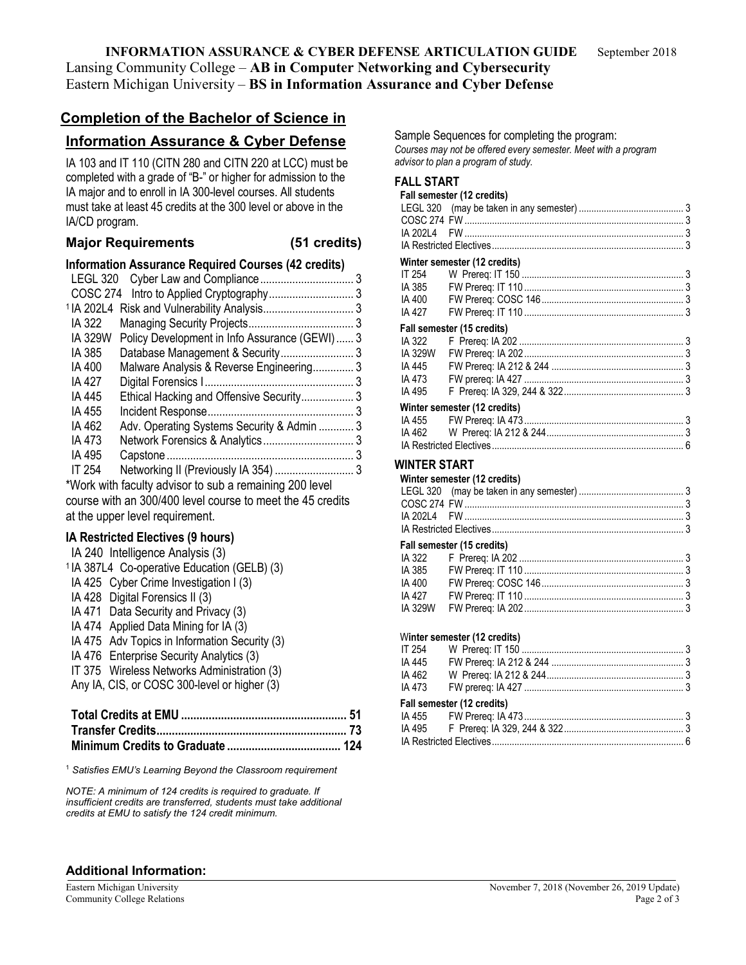### **INFORMATION ASSURANCE & CYBER DEFENSE ARTICULATION GUIDE** September 2018 Lansing Community College – **AB in Computer Networking and Cybersecurity** Eastern Michigan University – **BS in Information Assurance and Cyber Defense**

# **Completion of the Bachelor of Science in**

### **Information Assurance & Cyber Defense**

IA 103 and IT 110 (CITN 280 and CITN 220 at LCC) must be completed with a grade of "B-" or higher for admission to the IA major and to enroll in IA 300-level courses. All students must take at least 45 credits at the 300 level or above in the IA/CD program.

#### **Major Requirements (51 credits)**

|                | <b>Information Assurance Required Courses (42 credits)</b> |  |
|----------------|------------------------------------------------------------|--|
|                |                                                            |  |
|                |                                                            |  |
|                |                                                            |  |
| IA 322         |                                                            |  |
| <b>IA 329W</b> | Policy Development in Info Assurance (GEWI) 3              |  |
| IA 385         |                                                            |  |
| IA 400         | Malware Analysis & Reverse Engineering 3                   |  |
| IA 427         |                                                            |  |
| IA 445         | Ethical Hacking and Offensive Security3                    |  |
| IA 455         |                                                            |  |
| IA 462         | Adv. Operating Systems Security & Admin  3                 |  |
| IA 473         |                                                            |  |
| IA 495         |                                                            |  |
| IT 254         |                                                            |  |
|                |                                                            |  |

\*Work with faculty advisor to sub a remaining 200 level course with an 300/400 level course to meet the 45 credits at the upper level requirement.

#### **IA Restricted Electives (9 hours)**

| IA 240 Intelligence Analysis (3)                        |
|---------------------------------------------------------|
| <sup>1</sup> IA 387L4 Co-operative Education (GELB) (3) |
| IA 425 Cyber Crime Investigation I (3)                  |
| IA 428 Digital Forensics II (3)                         |
| IA 471 Data Security and Privacy (3)                    |
| IA 474 Applied Data Mining for IA (3)                   |
| IA 475 Adv Topics in Information Security (3)           |
| IA 476 Enterprise Security Analytics (3)                |
| IT 375 Wireless Networks Administration (3)             |
| Any IA, CIS, or COSC 300-level or higher (3)            |
|                                                         |

<sup>1</sup> *Satisfies EMU's Learning Beyond the Classroom requirement*

*NOTE: A minimum of 124 credits is required to graduate. If insufficient credits are transferred, students must take additional credits at EMU to satisfy the 124 credit minimum.*

Sample Sequences for completing the program: *Courses may not be offered every semester. Meet with a program advisor to plan a program of study.*

## **FALL START**

|              | Fall semester (12 credits)   |  |
|--------------|------------------------------|--|
|              |                              |  |
|              |                              |  |
| IA 202L4     |                              |  |
|              |                              |  |
|              | Winter semester (12 credits) |  |
| IT 254       |                              |  |
| IA 385       |                              |  |
| IA 400       |                              |  |
| IA 427       |                              |  |
|              | Fall semester (15 credits)   |  |
| IA 322       |                              |  |
| IA 329W      |                              |  |
| IA 445       |                              |  |
| IA 473       |                              |  |
| IA 495       |                              |  |
|              | Winter semester (12 credits) |  |
| IA 455       |                              |  |
| IA 462       |                              |  |
|              |                              |  |
| WINTER START |                              |  |
|              | Winter semester (12 credits) |  |
|              |                              |  |
|              |                              |  |
|              |                              |  |
|              |                              |  |
|              | Fall semester (15 credits)   |  |
| IA 322       |                              |  |
| IA 385       |                              |  |
| IA 400       |                              |  |
| IA 427       |                              |  |
| IA 329W      |                              |  |
|              |                              |  |
|              | Winter semester (12 credits) |  |
| IT 254       |                              |  |
| IA 445       |                              |  |
| IA 462       |                              |  |
| IA 473       |                              |  |
|              | Fall semester (12 credits)   |  |
| IA 455       |                              |  |
| IA 495       |                              |  |

IA Restricted Electives............................................................................. 6

#### **Additional Information:**